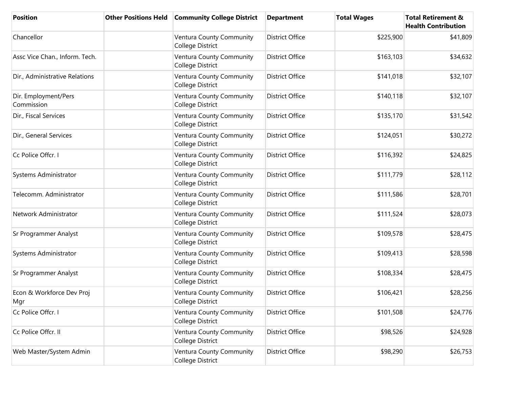| <b>Position</b>                    | <b>Other Positions Held</b> | <b>Community College District</b>            | <b>Department</b>      | <b>Total Wages</b> | <b>Total Retirement &amp;</b><br><b>Health Contribution</b> |
|------------------------------------|-----------------------------|----------------------------------------------|------------------------|--------------------|-------------------------------------------------------------|
| Chancellor                         |                             | Ventura County Community<br>College District | <b>District Office</b> | \$225,900          | \$41,809                                                    |
| Assc Vice Chan., Inform. Tech.     |                             | Ventura County Community<br>College District | <b>District Office</b> | \$163,103          | \$34,632                                                    |
| Dir., Administrative Relations     |                             | Ventura County Community<br>College District | <b>District Office</b> | \$141,018          | \$32,107                                                    |
| Dir. Employment/Pers<br>Commission |                             | Ventura County Community<br>College District | <b>District Office</b> | \$140,118          | \$32,107                                                    |
| Dir., Fiscal Services              |                             | Ventura County Community<br>College District | <b>District Office</b> | \$135,170          | \$31,542                                                    |
| Dir., General Services             |                             | Ventura County Community<br>College District | <b>District Office</b> | \$124,051          | \$30,272                                                    |
| Cc Police Offcr. I                 |                             | Ventura County Community<br>College District | <b>District Office</b> | \$116,392          | \$24,825                                                    |
| Systems Administrator              |                             | Ventura County Community<br>College District | <b>District Office</b> | \$111,779          | \$28,112                                                    |
| Telecomm. Administrator            |                             | Ventura County Community<br>College District | <b>District Office</b> | \$111,586          | \$28,701                                                    |
| Network Administrator              |                             | Ventura County Community<br>College District | <b>District Office</b> | \$111,524          | \$28,073                                                    |
| Sr Programmer Analyst              |                             | Ventura County Community<br>College District | <b>District Office</b> | \$109,578          | \$28,475                                                    |
| Systems Administrator              |                             | Ventura County Community<br>College District | <b>District Office</b> | \$109,413          | \$28,598                                                    |
| Sr Programmer Analyst              |                             | Ventura County Community<br>College District | <b>District Office</b> | \$108,334          | \$28,475                                                    |
| Econ & Workforce Dev Proj<br>Mgr   |                             | Ventura County Community<br>College District | <b>District Office</b> | \$106,421          | \$28,256                                                    |
| Cc Police Offcr. I                 |                             | Ventura County Community<br>College District | <b>District Office</b> | \$101,508          | \$24,776                                                    |
| Cc Police Offcr. II                |                             | Ventura County Community<br>College District | District Office        | \$98,526           | \$24,928                                                    |
| Web Master/System Admin            |                             | Ventura County Community<br>College District | District Office        | \$98,290           | \$26,753                                                    |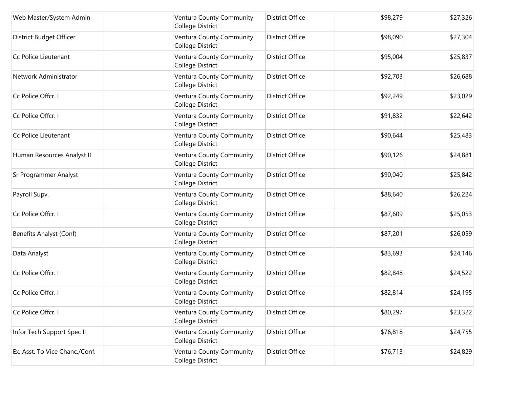| Web Master/System Admin        | Ventura County Community<br>College District | <b>District Office</b> | \$98,279 | \$27,326 |
|--------------------------------|----------------------------------------------|------------------------|----------|----------|
| District Budget Officer        | Ventura County Community<br>College District | <b>District Office</b> | \$98,090 | \$27,304 |
| Cc Police Lieutenant           | Ventura County Community<br>College District | <b>District Office</b> | \$95,004 | \$25,837 |
| Network Administrator          | Ventura County Community<br>College District | <b>District Office</b> | \$92,703 | \$26,688 |
| Cc Police Offcr. I             | Ventura County Community<br>College District | <b>District Office</b> | \$92,249 | \$23,029 |
| Cc Police Offcr. I             | Ventura County Community<br>College District | <b>District Office</b> | \$91,832 | \$22,642 |
| Cc Police Lieutenant           | Ventura County Community<br>College District | <b>District Office</b> | \$90,644 | \$25,483 |
| Human Resources Analyst II     | Ventura County Community<br>College District | <b>District Office</b> | \$90,126 | \$24,881 |
| Sr Programmer Analyst          | Ventura County Community<br>College District | <b>District Office</b> | \$90,040 | \$25,842 |
| Payroll Supv.                  | Ventura County Community<br>College District | <b>District Office</b> | \$88,640 | \$26,224 |
| Cc Police Offcr. I             | Ventura County Community<br>College District | <b>District Office</b> | \$87,609 | \$25,053 |
| Benefits Analyst (Conf)        | Ventura County Community<br>College District | <b>District Office</b> | \$87,201 | \$26,059 |
| Data Analyst                   | Ventura County Community<br>College District | <b>District Office</b> | \$83,693 | \$24,146 |
| Cc Police Offcr. I             | Ventura County Community<br>College District | <b>District Office</b> | \$82,848 | \$24,522 |
| Cc Police Offcr. I             | Ventura County Community<br>College District | <b>District Office</b> | \$82,814 | \$24,195 |
| Cc Police Offcr. I             | Ventura County Community<br>College District | <b>District Office</b> | \$80,297 | \$23,322 |
| Infor Tech Support Spec II     | Ventura County Community<br>College District | <b>District Office</b> | \$76,818 | \$24,755 |
| Ex. Asst. To Vice Chanc./Conf. | Ventura County Community<br>College District | <b>District Office</b> | \$76,713 | \$24,829 |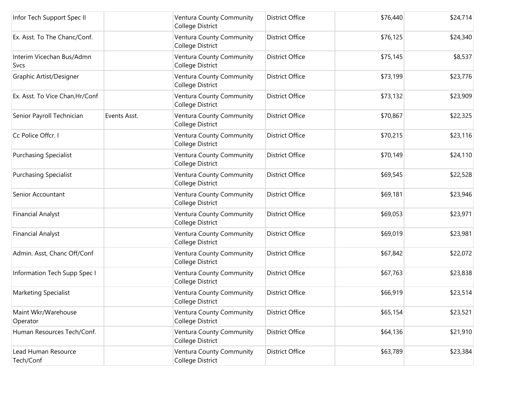| Infor Tech Support Spec II               |              | Ventura County Community<br>College District | <b>District Office</b> | \$76,440 | \$24,714 |
|------------------------------------------|--------------|----------------------------------------------|------------------------|----------|----------|
| Ex. Asst. To The Chanc/Conf.             |              | Ventura County Community<br>College District | <b>District Office</b> | \$76,125 | \$24,340 |
| Interim Vicechan Bus/Admn<br><b>Svcs</b> |              | Ventura County Community<br>College District | <b>District Office</b> | \$75,145 | \$8,537  |
| Graphic Artist/Designer                  |              | Ventura County Community<br>College District | <b>District Office</b> | \$73,199 | \$23,776 |
| Ex. Asst. To Vice Chan, Hr/Conf          |              | Ventura County Community<br>College District | <b>District Office</b> | \$73,132 | \$23,909 |
| Senior Payroll Technician                | Events Asst. | Ventura County Community<br>College District | <b>District Office</b> | \$70,867 | \$22,325 |
| Cc Police Offcr. I                       |              | Ventura County Community<br>College District | <b>District Office</b> | \$70,215 | \$23,116 |
| <b>Purchasing Specialist</b>             |              | Ventura County Community<br>College District | <b>District Office</b> | \$70,149 | \$24,110 |
| <b>Purchasing Specialist</b>             |              | Ventura County Community<br>College District | <b>District Office</b> | \$69,545 | \$22,528 |
| Senior Accountant                        |              | Ventura County Community<br>College District | <b>District Office</b> | \$69,181 | \$23,946 |
| <b>Financial Analyst</b>                 |              | Ventura County Community<br>College District | <b>District Office</b> | \$69,053 | \$23,971 |
| <b>Financial Analyst</b>                 |              | Ventura County Community<br>College District | <b>District Office</b> | \$69,019 | \$23,981 |
| Admin. Asst, Chanc Off/Conf              |              | Ventura County Community<br>College District | <b>District Office</b> | \$67,842 | \$22,072 |
| Information Tech Supp Spec I             |              | Ventura County Community<br>College District | <b>District Office</b> | \$67,763 | \$23,838 |
| Marketing Specialist                     |              | Ventura County Community<br>College District | <b>District Office</b> | \$66,919 | \$23,514 |
| Maint Wkr/Warehouse<br>Operator          |              | Ventura County Community<br>College District | <b>District Office</b> | \$65,154 | \$23,521 |
| Human Resources Tech/Conf.               |              | Ventura County Community<br>College District | <b>District Office</b> | \$64,136 | \$21,910 |
| Lead Human Resource<br>Tech/Conf         |              | Ventura County Community<br>College District | <b>District Office</b> | \$63,789 | \$23,384 |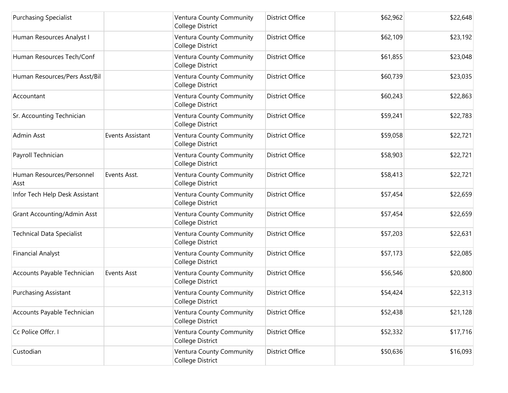| <b>Purchasing Specialist</b>       |                  | Ventura County Community<br>College District | <b>District Office</b> | \$62,962 | \$22,648 |
|------------------------------------|------------------|----------------------------------------------|------------------------|----------|----------|
| Human Resources Analyst I          |                  | Ventura County Community<br>College District | <b>District Office</b> | \$62,109 | \$23,192 |
| Human Resources Tech/Conf          |                  | Ventura County Community<br>College District | <b>District Office</b> | \$61,855 | \$23,048 |
| Human Resources/Pers Asst/Bil      |                  | Ventura County Community<br>College District | <b>District Office</b> | \$60,739 | \$23,035 |
| Accountant                         |                  | Ventura County Community<br>College District | <b>District Office</b> | \$60,243 | \$22,863 |
| Sr. Accounting Technician          |                  | Ventura County Community<br>College District | <b>District Office</b> | \$59,241 | \$22,783 |
| Admin Asst                         | Events Assistant | Ventura County Community<br>College District | <b>District Office</b> | \$59,058 | \$22,721 |
| Payroll Technician                 |                  | Ventura County Community<br>College District | <b>District Office</b> | \$58,903 | \$22,721 |
| Human Resources/Personnel<br>Asst  | Events Asst.     | Ventura County Community<br>College District | <b>District Office</b> | \$58,413 | \$22,721 |
| Infor Tech Help Desk Assistant     |                  | Ventura County Community<br>College District | <b>District Office</b> | \$57,454 | \$22,659 |
| <b>Grant Accounting/Admin Asst</b> |                  | Ventura County Community<br>College District | <b>District Office</b> | \$57,454 | \$22,659 |
| <b>Technical Data Specialist</b>   |                  | Ventura County Community<br>College District | <b>District Office</b> | \$57,203 | \$22,631 |
| <b>Financial Analyst</b>           |                  | Ventura County Community<br>College District | <b>District Office</b> | \$57,173 | \$22,085 |
| Accounts Payable Technician        | Events Asst      | Ventura County Community<br>College District | <b>District Office</b> | \$56,546 | \$20,800 |
| Purchasing Assistant               |                  | Ventura County Community<br>College District | <b>District Office</b> | \$54,424 | \$22,313 |
| Accounts Payable Technician        |                  | Ventura County Community<br>College District | <b>District Office</b> | \$52,438 | \$21,128 |
| Cc Police Offcr. I                 |                  | Ventura County Community<br>College District | <b>District Office</b> | \$52,332 | \$17,716 |
| Custodian                          |                  | Ventura County Community<br>College District | District Office        | \$50,636 | \$16,093 |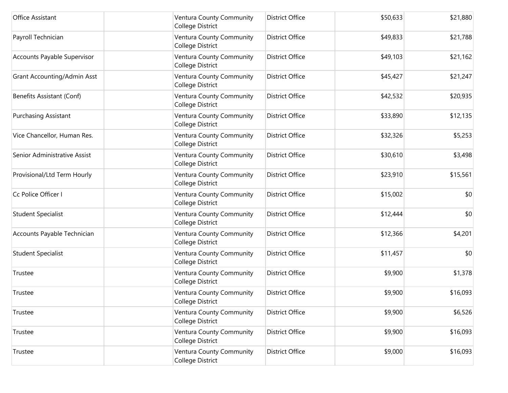| Office Assistant             | Ventura County Community<br>College District | <b>District Office</b> | \$50,633 | \$21,880 |
|------------------------------|----------------------------------------------|------------------------|----------|----------|
| Payroll Technician           | Ventura County Community<br>College District | <b>District Office</b> | \$49,833 | \$21,788 |
| Accounts Payable Supervisor  | Ventura County Community<br>College District | <b>District Office</b> | \$49,103 | \$21,162 |
| Grant Accounting/Admin Asst  | Ventura County Community<br>College District | <b>District Office</b> | \$45,427 | \$21,247 |
| Benefits Assistant (Conf)    | Ventura County Community<br>College District | <b>District Office</b> | \$42,532 | \$20,935 |
| <b>Purchasing Assistant</b>  | Ventura County Community<br>College District | <b>District Office</b> | \$33,890 | \$12,135 |
| Vice Chancellor, Human Res.  | Ventura County Community<br>College District | <b>District Office</b> | \$32,326 | \$5,253  |
| Senior Administrative Assist | Ventura County Community<br>College District | <b>District Office</b> | \$30,610 | \$3,498  |
| Provisional/Ltd Term Hourly  | Ventura County Community<br>College District | <b>District Office</b> | \$23,910 | \$15,561 |
| Cc Police Officer I          | Ventura County Community<br>College District | <b>District Office</b> | \$15,002 | \$0      |
| <b>Student Specialist</b>    | Ventura County Community<br>College District | <b>District Office</b> | \$12,444 | \$0      |
| Accounts Payable Technician  | Ventura County Community<br>College District | <b>District Office</b> | \$12,366 | \$4,201  |
| <b>Student Specialist</b>    | Ventura County Community<br>College District | <b>District Office</b> | \$11,457 | \$0      |
| Trustee                      | Ventura County Community<br>College District | <b>District Office</b> | \$9,900  | \$1,378  |
| Trustee                      | Ventura County Community<br>College District | <b>District Office</b> | \$9,900  | \$16,093 |
| Trustee                      | Ventura County Community<br>College District | <b>District Office</b> | \$9,900  | \$6,526  |
| Trustee                      | Ventura County Community<br>College District | District Office        | \$9,900  | \$16,093 |
| Trustee                      | Ventura County Community<br>College District | District Office        | \$9,000  | \$16,093 |